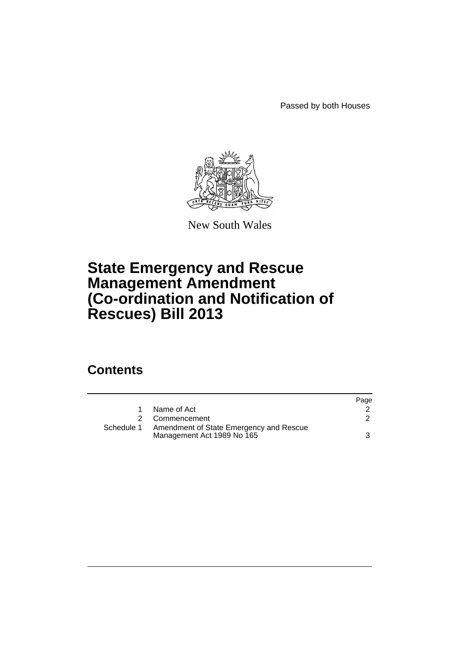Passed by both Houses



New South Wales

## **State Emergency and Rescue Management Amendment (Co-ordination and Notification of Rescues) Bill 2013**

## **Contents**

|            |                                                                       | Page |
|------------|-----------------------------------------------------------------------|------|
|            | Name of Act                                                           |      |
| 2          | Commencement                                                          |      |
| Schedule 1 | Amendment of State Emergency and Rescue<br>Management Act 1989 No 165 |      |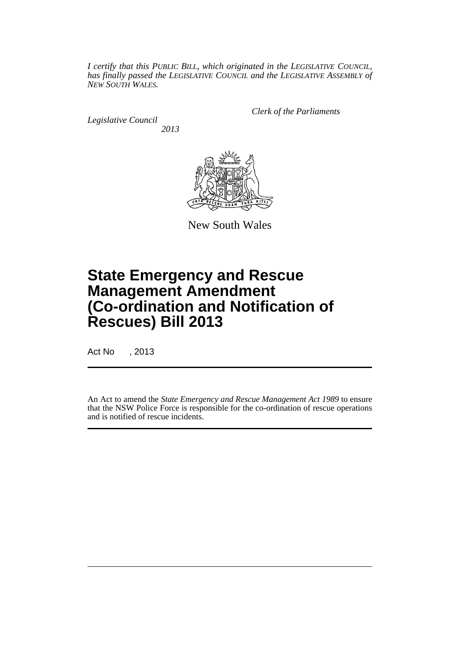*I certify that this PUBLIC BILL, which originated in the LEGISLATIVE COUNCIL, has finally passed the LEGISLATIVE COUNCIL and the LEGISLATIVE ASSEMBLY of NEW SOUTH WALES.*

*Legislative Council 2013* *Clerk of the Parliaments*



New South Wales

# **State Emergency and Rescue Management Amendment (Co-ordination and Notification of Rescues) Bill 2013**

Act No , 2013

An Act to amend the *State Emergency and Rescue Management Act 1989* to ensure that the NSW Police Force is responsible for the co-ordination of rescue operations and is notified of rescue incidents.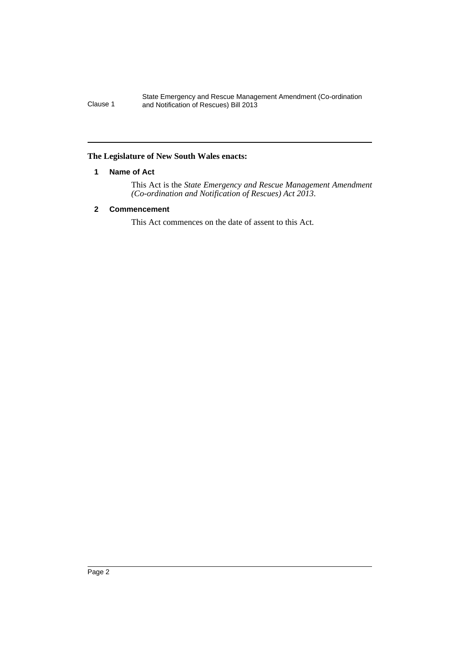#### State Emergency and Rescue Management Amendment (Co-ordination Clause 1 and Notification of Rescues) Bill 2013

## <span id="page-3-0"></span>**The Legislature of New South Wales enacts:**

## **1 Name of Act**

This Act is the *State Emergency and Rescue Management Amendment (Co-ordination and Notification of Rescues) Act 2013*.

## <span id="page-3-1"></span>**2 Commencement**

This Act commences on the date of assent to this Act.